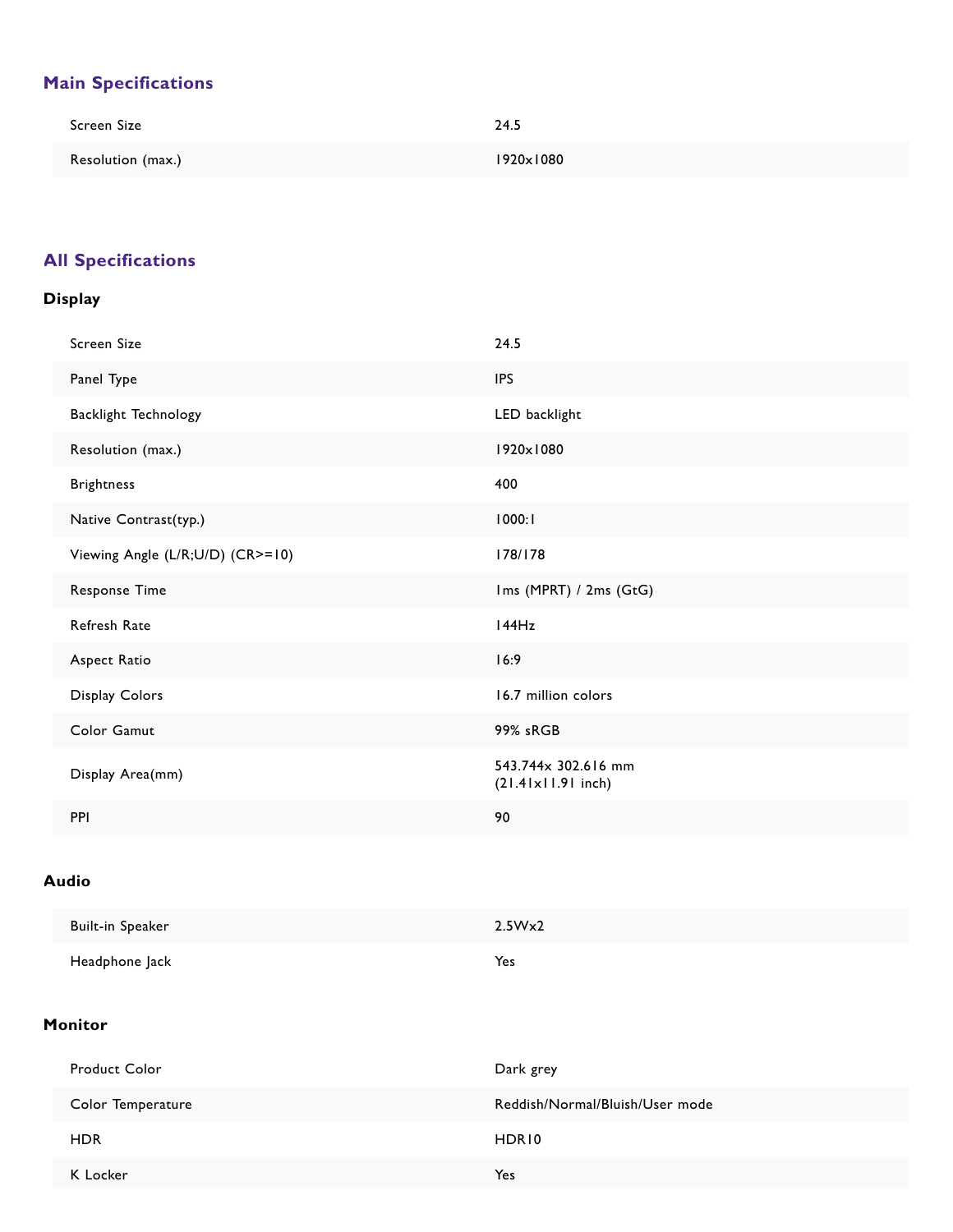# **Main Specifications**

| Screen Size       | 24.5              |
|-------------------|-------------------|
| Resolution (max.) | $1920\times 1080$ |

# **All Specifications**

### **Display**

| Screen Size                      | 24.5                                               |
|----------------------------------|----------------------------------------------------|
| Panel Type                       | <b>IPS</b>                                         |
| Backlight Technology             | LED backlight                                      |
| Resolution (max.)                | 1920×1080                                          |
| <b>Brightness</b>                | 400                                                |
| Native Contrast(typ.)            | 1000:1                                             |
| Viewing Angle (L/R;U/D) (CR>=10) | 178/178                                            |
| <b>Response Time</b>             | Ims (MPRT) / 2ms (GtG)                             |
| Refresh Rate                     | 144Hz                                              |
| Aspect Ratio                     | 16:9                                               |
| Display Colors                   | 16.7 million colors                                |
| Color Gamut                      | 99% sRGB                                           |
| Display Area(mm)                 | 543.744x 302.616 mm<br>$(21.41 \times 11.91$ inch) |
| PPI                              | 90                                                 |

## **Audio**

| Built-in Speaker | 2.5W <sub>x</sub> 2 |
|------------------|---------------------|
| Headphone Jack   | Yes                 |

### **Monitor**

| <b>Product Color</b> | Dark grey                       |
|----------------------|---------------------------------|
| Color Temperature    | Reddish/Normal/Bluish/User mode |
| <b>HDR</b>           | HDR10                           |
| K Locker             | Yes                             |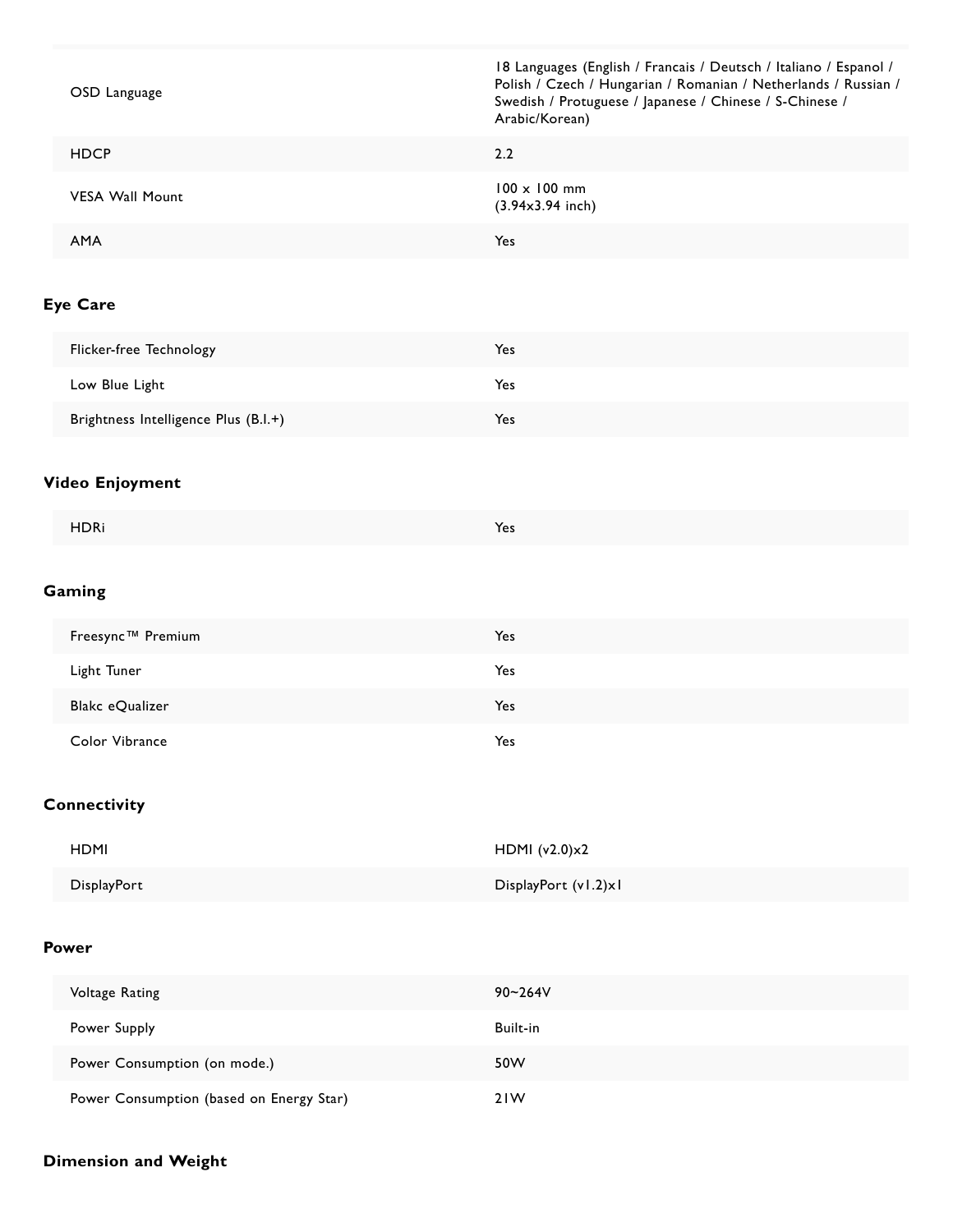| OSD Language                             | 18 Languages (English / Francais / Deutsch / Italiano / Espanol /<br>Polish / Czech / Hungarian / Romanian / Netherlands / Russian /<br>Swedish / Protuguese / Japanese / Chinese / S-Chinese /<br>Arabic/Korean) |
|------------------------------------------|-------------------------------------------------------------------------------------------------------------------------------------------------------------------------------------------------------------------|
| <b>HDCP</b>                              | 2.2                                                                                                                                                                                                               |
| <b>VESA Wall Mount</b>                   | 100 x 100 mm<br>$(3.94x3.94$ inch)                                                                                                                                                                                |
| AMA                                      | Yes                                                                                                                                                                                                               |
| Eye Care                                 |                                                                                                                                                                                                                   |
| Flicker-free Technology                  | Yes                                                                                                                                                                                                               |
| Low Blue Light                           | Yes                                                                                                                                                                                                               |
| Brightness Intelligence Plus (B.I.+)     | Yes                                                                                                                                                                                                               |
| Video Enjoyment                          |                                                                                                                                                                                                                   |
| <b>HDRi</b>                              | Yes                                                                                                                                                                                                               |
| Gaming                                   |                                                                                                                                                                                                                   |
| Freesync™ Premium                        | Yes                                                                                                                                                                                                               |
| Light Tuner                              | Yes                                                                                                                                                                                                               |
| Blakc eQualizer                          | Yes                                                                                                                                                                                                               |
| Color Vibrance                           | Yes                                                                                                                                                                                                               |
| Connectivity                             |                                                                                                                                                                                                                   |
| <b>HDMI</b>                              | HDMI (v2.0)x2                                                                                                                                                                                                     |
| DisplayPort                              | DisplayPort (v1.2)xl                                                                                                                                                                                              |
| Power                                    |                                                                                                                                                                                                                   |
| Voltage Rating                           | 90~264V                                                                                                                                                                                                           |
| Power Supply                             | Built-in                                                                                                                                                                                                          |
| Power Consumption (on mode.)             | 50W                                                                                                                                                                                                               |
| Power Consumption (based on Energy Star) | 21W                                                                                                                                                                                                               |

#### **Dimension and Weight**